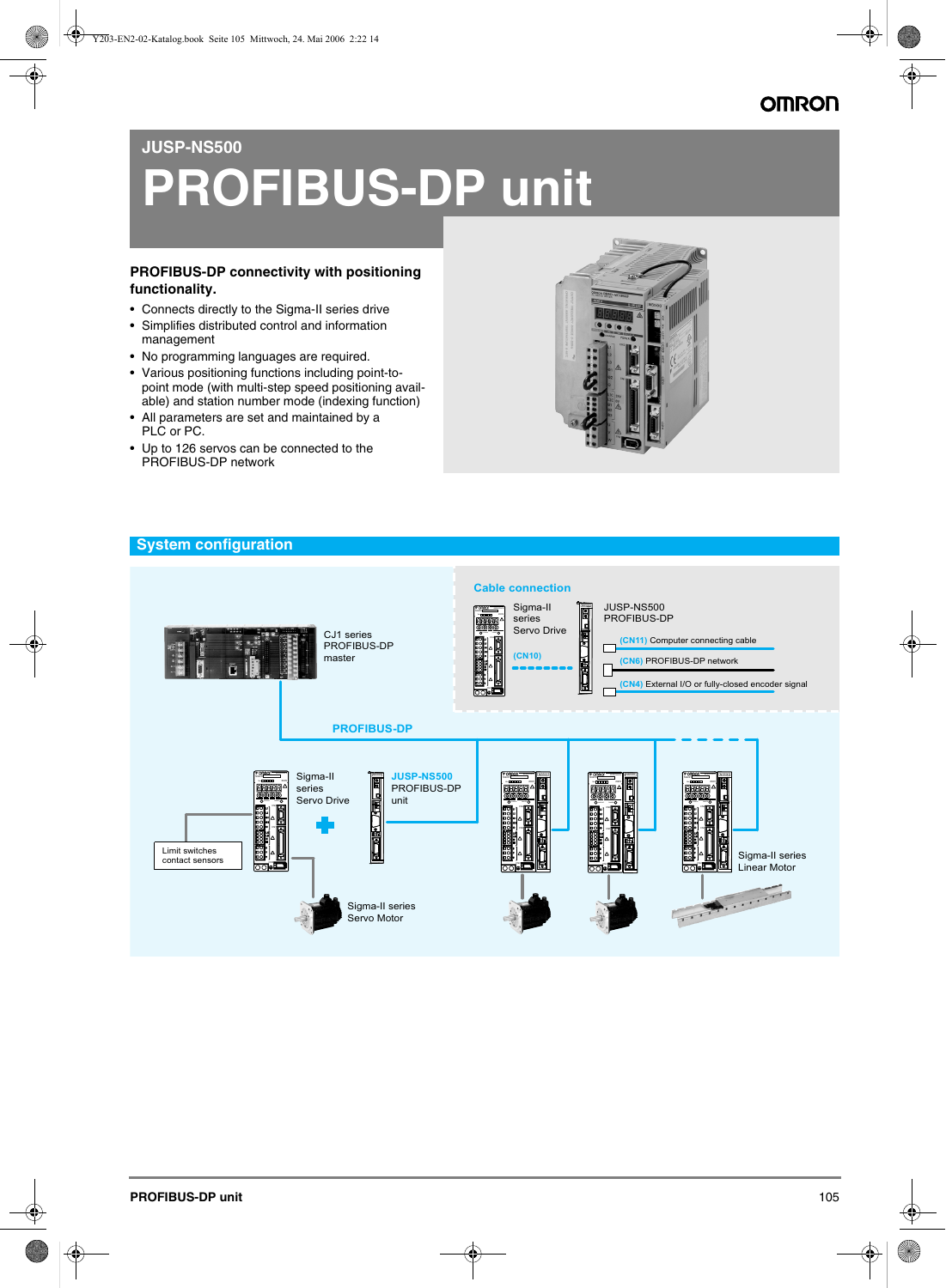# **JUSP-NS500**

# **PROFIBUS-DP unit**

### **PROFIBUS-DP connectivity with positioning functionality.**

- Connects directly to the Sigma-II series drive
- Simplifies distributed control and information management
- No programming languages are required.
- Various positioning functions including point-topoint mode (with multi-step speed positioning available) and station number mode (indexing function)
- All parameters are set and maintained by a PLC or PC.
- Up to 126 servos can be connected to the PROFIBUS-DP network



### **System configuration**

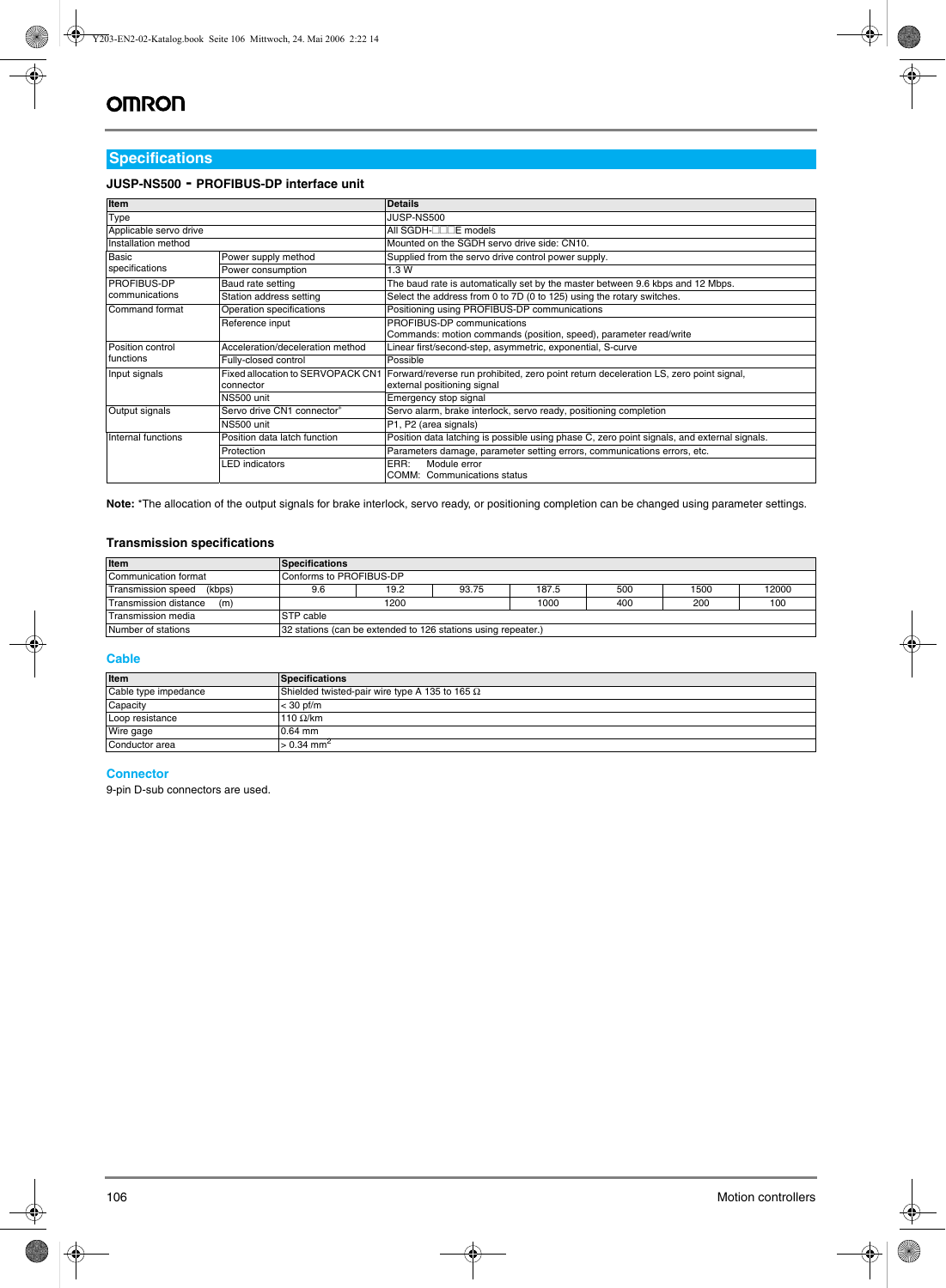# **Specifications**

### **JUSP-NS500 - PROFIBUS-DP interface unit**

| <b>Item</b>                               |                                  | <b>Details</b>                                                                                                                                         |  |  |
|-------------------------------------------|----------------------------------|--------------------------------------------------------------------------------------------------------------------------------------------------------|--|--|
| Type                                      |                                  | JUSP-NS500                                                                                                                                             |  |  |
| Applicable servo drive                    |                                  | All SGDH- <sub></sub> □□□E models                                                                                                                      |  |  |
| Installation method                       |                                  | Mounted on the SGDH servo drive side: CN10.                                                                                                            |  |  |
| <b>Basic</b>                              | Power supply method              | Supplied from the servo drive control power supply.                                                                                                    |  |  |
| specifications                            | Power consumption                | 1.3 W                                                                                                                                                  |  |  |
| <b>PROFIBUS-DP</b>                        | Baud rate setting                | The baud rate is automatically set by the master between 9.6 kbps and 12 Mbps.                                                                         |  |  |
| communications<br>Station address setting |                                  | Select the address from 0 to 7D (0 to 125) using the rotary switches.                                                                                  |  |  |
| Command format                            | Operation specifications         | Positioning using PROFIBUS-DP communications                                                                                                           |  |  |
|                                           | Reference input                  | PROFIBUS-DP communications                                                                                                                             |  |  |
|                                           |                                  | Commands: motion commands (position, speed), parameter read/write                                                                                      |  |  |
| Position control                          | Acceleration/deceleration method | Linear first/second-step, asymmetric, exponential, S-curve                                                                                             |  |  |
| functions                                 | Fully-closed control             | Possible                                                                                                                                               |  |  |
| Input signals                             | connector                        | Fixed allocation to SERVOPACK CN1 Forward/reverse run prohibited, zero point return deceleration LS, zero point signal,<br>external positioning signal |  |  |
|                                           | NS500 unit                       | Emergency stop signal                                                                                                                                  |  |  |
| Output signals                            | Servo drive CN1 connector®       | Servo alarm, brake interlock, servo ready, positioning completion                                                                                      |  |  |
|                                           | NS500 unit                       | P1, P2 (area signals)                                                                                                                                  |  |  |
| Internal functions                        | Position data latch function     | Position data latching is possible using phase C, zero point signals, and external signals.                                                            |  |  |
|                                           | Protection                       | Parameters damage, parameter setting errors, communications errors, etc.                                                                               |  |  |
|                                           | LED indicators                   | Module error<br>ERR:<br>COMM: Communications status                                                                                                    |  |  |

**Note:** \*The allocation of the output signals for brake interlock, servo ready, or positioning completion can be changed using parameter settings.

### **Transmission specifications**

| Item                                | <b>Specifications</b>                                         |      |       |       |     |      |       |
|-------------------------------------|---------------------------------------------------------------|------|-------|-------|-----|------|-------|
| Communication format                | Conforms to PROFIBUS-DP                                       |      |       |       |     |      |       |
| (kbps)<br><b>Transmission speed</b> | 9.6                                                           | 19.2 | 93.75 | 187.5 | 500 | 1500 | 12000 |
| Transmission distance<br>(m)        |                                                               | 1200 |       | 1000  | 400 | 200  | 100   |
| Transmission media                  | STP cable                                                     |      |       |       |     |      |       |
| Number of stations                  | 32 stations (can be extended to 126 stations using repeater.) |      |       |       |     |      |       |

### **Cable**

| Item                 | <b>Specifications</b>                                 |
|----------------------|-------------------------------------------------------|
| Cable type impedance | Shielded twisted-pair wire type A 135 to 165 $\Omega$ |
| Capacity             | $<$ 30 pf/m                                           |
| Loop resistance      | 110 $\Omega$ /km                                      |
| Wire gage            | $0.64$ mm                                             |
| Conductor area       | $> 0.34$ mm <sup>2</sup>                              |

### **Connector**

9-pin D-sub connectors are used.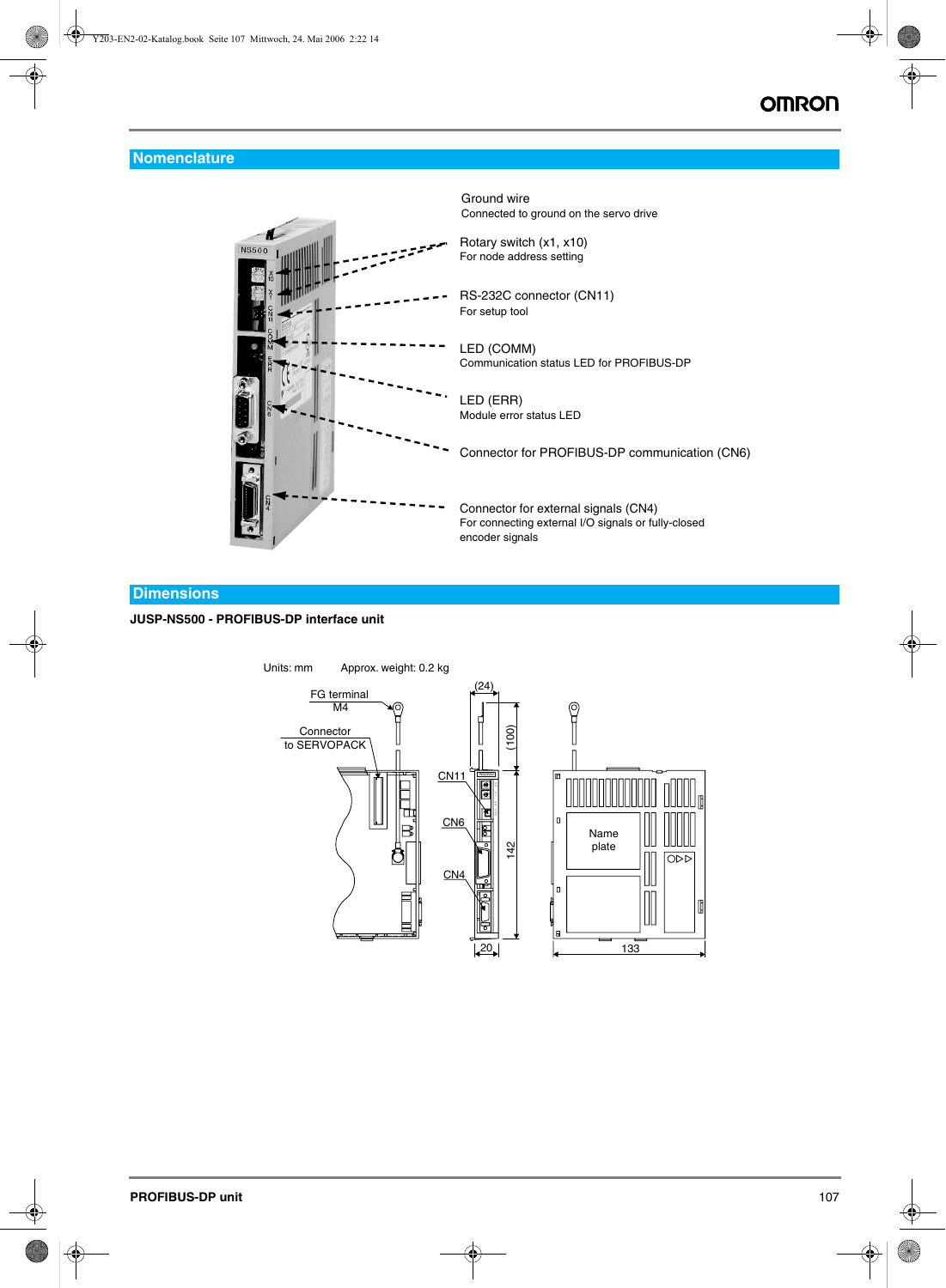# **Nomenclature**



Ground wire Connected to ground on the servo drive

Rotary switch (x1, x10) For node address setting

RS-232C connector (CN11) For setup tool

LED (COMM) Communication status LED for PROFIBUS-DP

LED (ERR) Module error status LED

Connector for PROFIBUS-DP communication (CN6)

Connector for external signals (CN4) For connecting external I/O signals or fully-closed encoder signals

### **Dimensions**

### **JUSP-NS500 - PROFIBUS-DP interface unit**

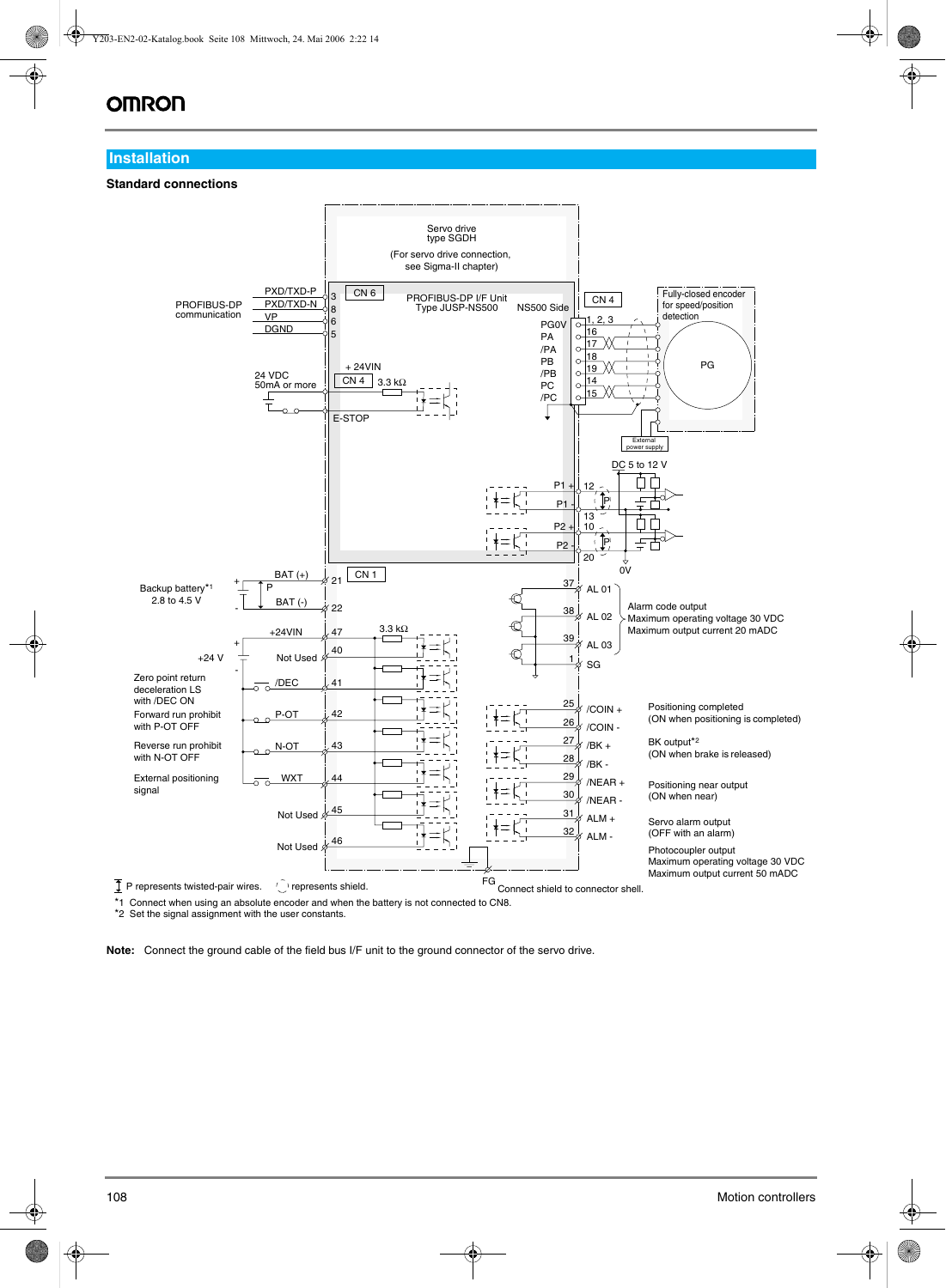# **OMRON**

### **Installation**

### **Standard connections**



\*1 Connect when using an absolute encoder and when the battery is not connected to CN8.

\*2 Set the signal assignment with the user constants.

**Note:** Connect the ground cable of the field bus I/F unit to the ground connector of the servo drive.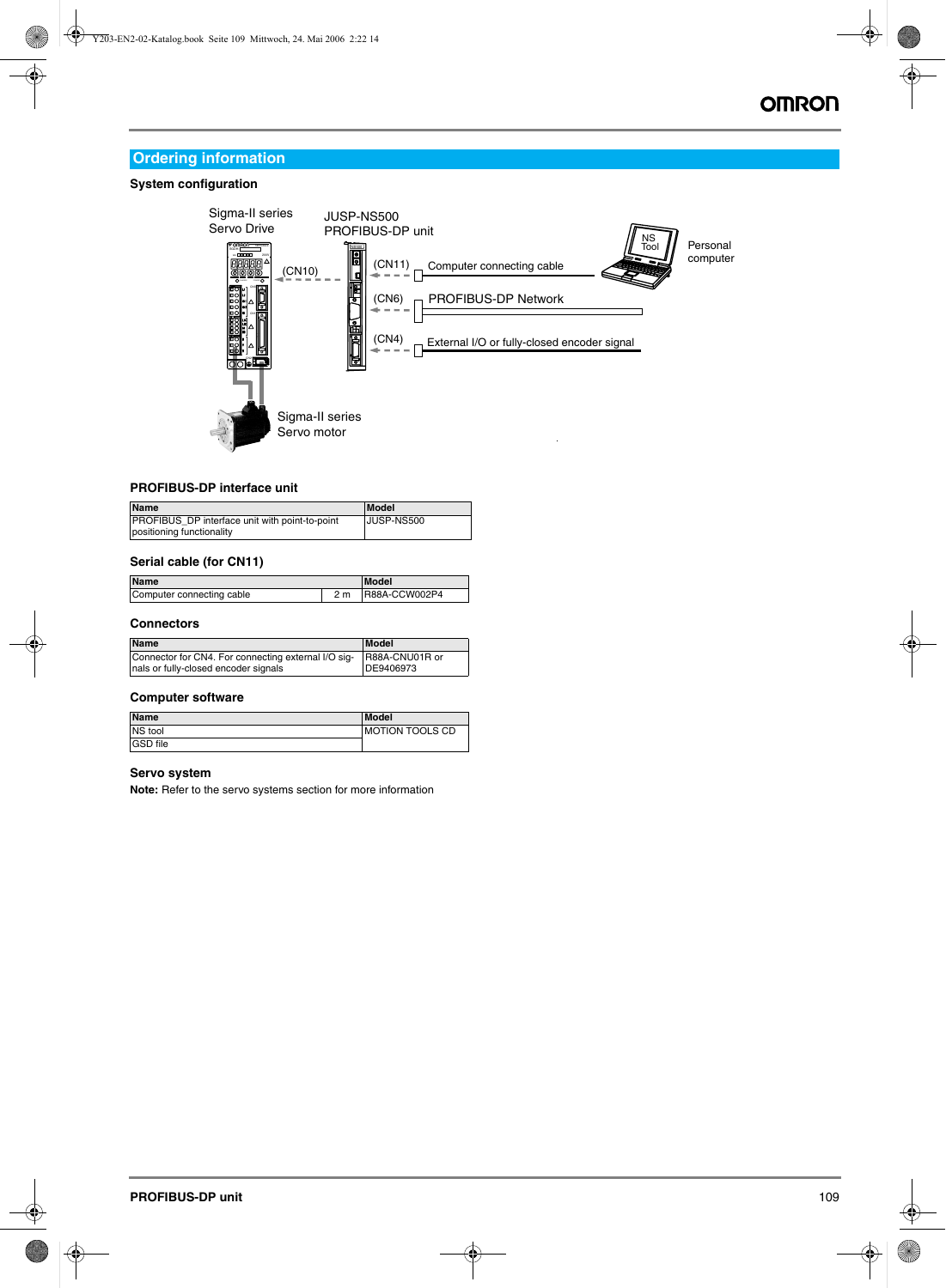# **Ordering information**

### **System configuration**



### **PROFIBUS-DP interface unit**

| Name                                           | Model      |
|------------------------------------------------|------------|
| PROFIBUS_DP interface unit with point-to-point | JUSP-NS500 |
| positioning functionality                      |            |

### **Serial cable (for CN11)**

| <b>Name</b>               |     | <b>Model</b>  |  |
|---------------------------|-----|---------------|--|
| Computer connecting cable | 2 m | R88A-CCW002P4 |  |

### **Connectors**

| <b>Name</b>                                                                                                | Model     |
|------------------------------------------------------------------------------------------------------------|-----------|
| Connector for CN4. For connecting external I/O sig- R88A-CNU01R or<br>nals or fully-closed encoder signals | DE9406973 |

#### **Computer software**

| <b>Name</b>     | Model                  |
|-----------------|------------------------|
| NS tool         | <b>MOTION TOOLS CD</b> |
| <b>GSD</b> file |                        |

### **Servo system**

**Note:** Refer to the servo systems section for more information